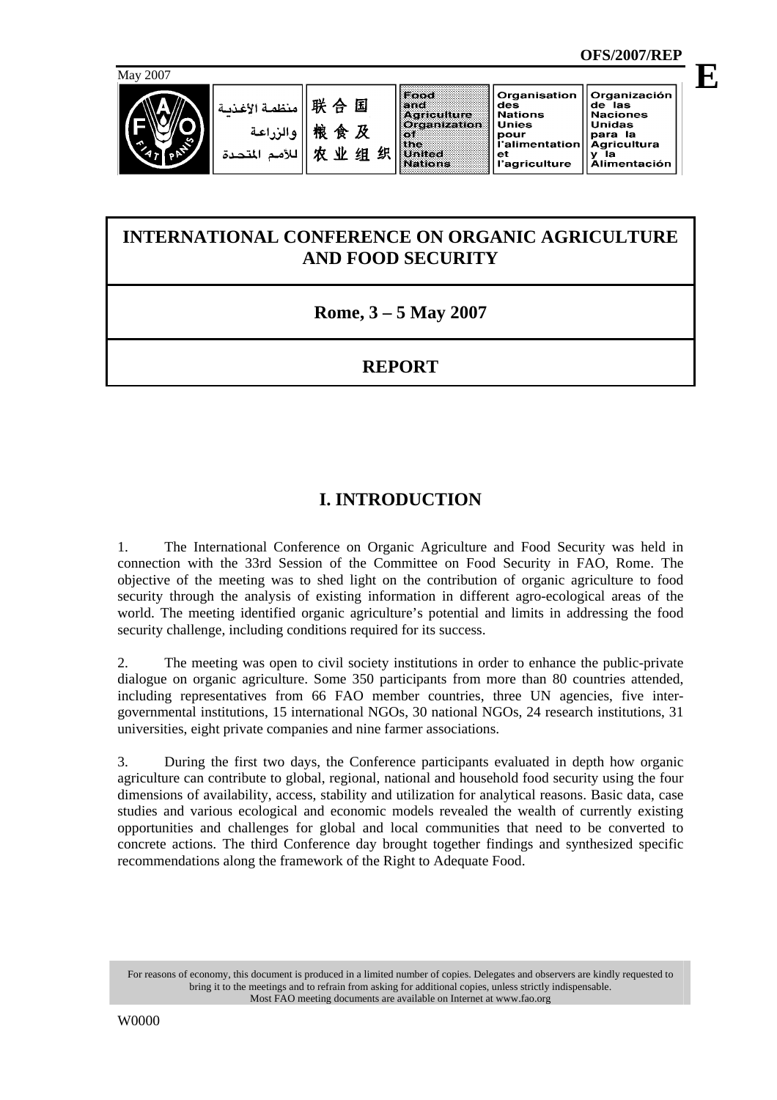**E**



## **INTERNATIONAL CONFERENCE ON ORGANIC AGRICULTURE AND FOOD SECURITY**

**Rome, 3 – 5 May 2007** 

## **REPORT**

# **I. INTRODUCTION**

1. The International Conference on Organic Agriculture and Food Security was held in connection with the 33rd Session of the Committee on Food Security in FAO, Rome. The objective of the meeting was to shed light on the contribution of organic agriculture to food security through the analysis of existing information in different agro-ecological areas of the world. The meeting identified organic agriculture's potential and limits in addressing the food security challenge, including conditions required for its success.

2. The meeting was open to civil society institutions in order to enhance the public-private dialogue on organic agriculture. Some 350 participants from more than 80 countries attended, including representatives from 66 FAO member countries, three UN agencies, five intergovernmental institutions, 15 international NGOs, 30 national NGOs, 24 research institutions, 31 universities, eight private companies and nine farmer associations.

3. During the first two days, the Conference participants evaluated in depth how organic agriculture can contribute to global, regional, national and household food security using the four dimensions of availability, access, stability and utilization for analytical reasons. Basic data, case studies and various ecological and economic models revealed the wealth of currently existing opportunities and challenges for global and local communities that need to be converted to concrete actions. The third Conference day brought together findings and synthesized specific recommendations along the framework of the Right to Adequate Food.

For reasons of economy, this document is produced in a limited number of copies. Delegates and observers are kindly requested to bring it to the meetings and to refrain from asking for additional copies, unless strictly indispensable. Most FAO meeting documents are available on Internet at www.fao.org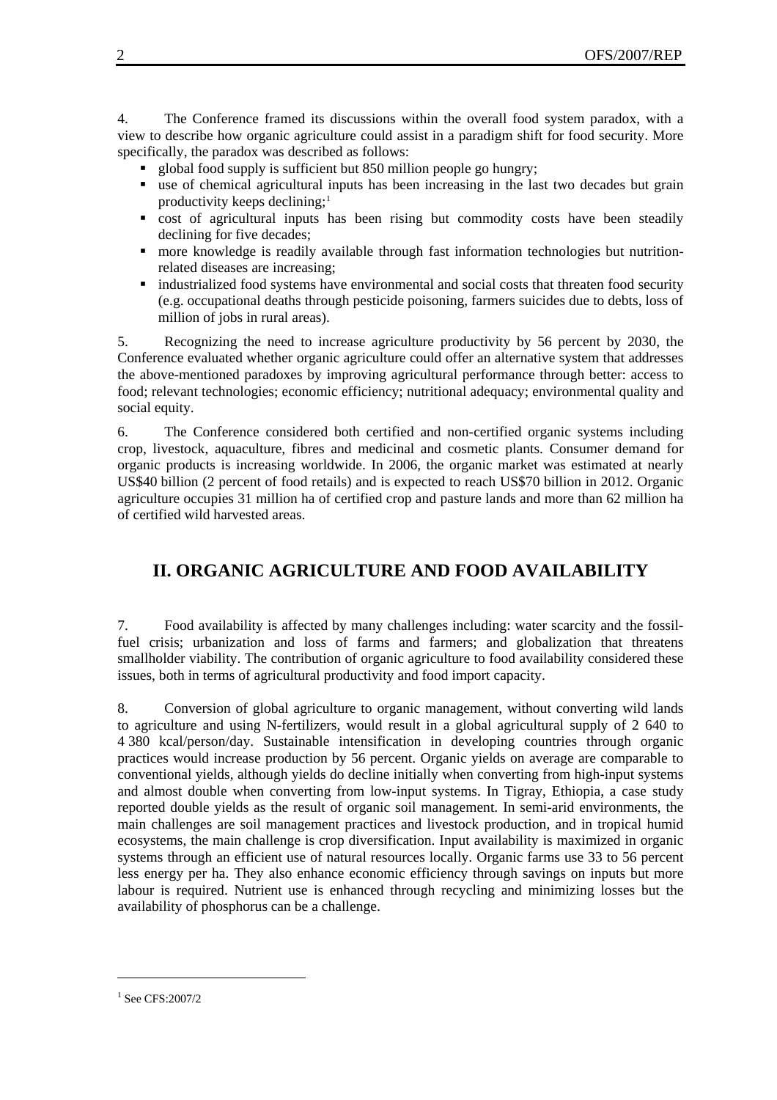4. The Conference framed its discussions within the overall food system paradox, with a view to describe how organic agriculture could assist in a paradigm shift for food security. More specifically, the paradox was described as follows:

- global food supply is sufficient but 850 million people go hungry;
- use of chemical agricultural inputs has been increasing in the last two decades but grain productivity keeps declining;<sup>[1](#page-1-0)</sup>
- cost of agricultural inputs has been rising but commodity costs have been steadily declining for five decades;
- more knowledge is readily available through fast information technologies but nutritionrelated diseases are increasing;
- industrialized food systems have environmental and social costs that threaten food security (e.g. occupational deaths through pesticide poisoning, farmers suicides due to debts, loss of million of jobs in rural areas).

5. Recognizing the need to increase agriculture productivity by 56 percent by 2030, the Conference evaluated whether organic agriculture could offer an alternative system that addresses the above-mentioned paradoxes by improving agricultural performance through better: access to food; relevant technologies; economic efficiency; nutritional adequacy; environmental quality and social equity.

6. The Conference considered both certified and non-certified organic systems including crop, livestock, aquaculture, fibres and medicinal and cosmetic plants. Consumer demand for organic products is increasing worldwide. In 2006, the organic market was estimated at nearly US\$40 billion (2 percent of food retails) and is expected to reach US\$70 billion in 2012. Organic agriculture occupies 31 million ha of certified crop and pasture lands and more than 62 million ha of certified wild harvested areas.

### **II. ORGANIC AGRICULTURE AND FOOD AVAILABILITY**

7. Food availability is affected by many challenges including: water scarcity and the fossilfuel crisis; urbanization and loss of farms and farmers; and globalization that threatens smallholder viability. The contribution of organic agriculture to food availability considered these issues, both in terms of agricultural productivity and food import capacity.

8. Conversion of global agriculture to organic management, without converting wild lands to agriculture and using N-fertilizers, would result in a global agricultural supply of 2 640 to 4 380 kcal/person/day. Sustainable intensification in developing countries through organic practices would increase production by 56 percent. Organic yields on average are comparable to conventional yields, although yields do decline initially when converting from high-input systems and almost double when converting from low-input systems. In Tigray, Ethiopia, a case study reported double yields as the result of organic soil management. In semi-arid environments, the main challenges are soil management practices and livestock production, and in tropical humid ecosystems, the main challenge is crop diversification. Input availability is maximized in organic systems through an efficient use of natural resources locally. Organic farms use 33 to 56 percent less energy per ha. They also enhance economic efficiency through savings on inputs but more labour is required. Nutrient use is enhanced through recycling and minimizing losses but the availability of phosphorus can be a challenge.

l

<span id="page-1-0"></span><sup>1</sup> See CFS:2007/2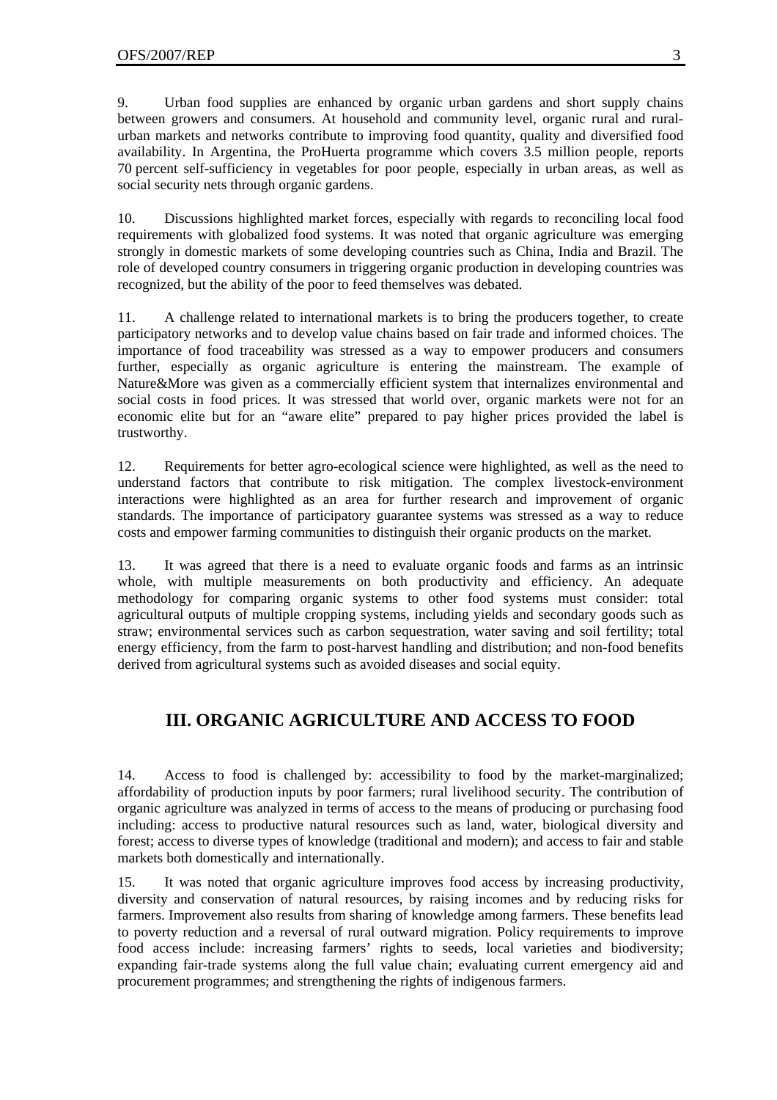9. Urban food supplies are enhanced by organic urban gardens and short supply chains between growers and consumers. At household and community level, organic rural and ruralurban markets and networks contribute to improving food quantity, quality and diversified food availability. In Argentina, the ProHuerta programme which covers 3.5 million people, reports 70 percent self-sufficiency in vegetables for poor people, especially in urban areas, as well as social security nets through organic gardens.

10. Discussions highlighted market forces, especially with regards to reconciling local food requirements with globalized food systems. It was noted that organic agriculture was emerging strongly in domestic markets of some developing countries such as China, India and Brazil. The role of developed country consumers in triggering organic production in developing countries was recognized, but the ability of the poor to feed themselves was debated.

11. A challenge related to international markets is to bring the producers together, to create participatory networks and to develop value chains based on fair trade and informed choices. The importance of food traceability was stressed as a way to empower producers and consumers further, especially as organic agriculture is entering the mainstream. The example of Nature&More was given as a commercially efficient system that internalizes environmental and social costs in food prices. It was stressed that world over, organic markets were not for an economic elite but for an "aware elite" prepared to pay higher prices provided the label is trustworthy.

12. Requirements for better agro-ecological science were highlighted, as well as the need to understand factors that contribute to risk mitigation. The complex livestock-environment interactions were highlighted as an area for further research and improvement of organic standards. The importance of participatory guarantee systems was stressed as a way to reduce costs and empower farming communities to distinguish their organic products on the market.

13. It was agreed that there is a need to evaluate organic foods and farms as an intrinsic whole, with multiple measurements on both productivity and efficiency. An adequate methodology for comparing organic systems to other food systems must consider: total agricultural outputs of multiple cropping systems, including yields and secondary goods such as straw; environmental services such as carbon sequestration, water saving and soil fertility; total energy efficiency, from the farm to post-harvest handling and distribution; and non-food benefits derived from agricultural systems such as avoided diseases and social equity.

#### **III. ORGANIC AGRICULTURE AND ACCESS TO FOOD**

14. Access to food is challenged by: accessibility to food by the market-marginalized; affordability of production inputs by poor farmers; rural livelihood security. The contribution of organic agriculture was analyzed in terms of access to the means of producing or purchasing food including: access to productive natural resources such as land, water, biological diversity and forest; access to diverse types of knowledge (traditional and modern); and access to fair and stable markets both domestically and internationally.

15. It was noted that organic agriculture improves food access by increasing productivity, diversity and conservation of natural resources, by raising incomes and by reducing risks for farmers. Improvement also results from sharing of knowledge among farmers. These benefits lead to poverty reduction and a reversal of rural outward migration. Policy requirements to improve food access include: increasing farmers' rights to seeds, local varieties and biodiversity; expanding fair-trade systems along the full value chain; evaluating current emergency aid and procurement programmes; and strengthening the rights of indigenous farmers.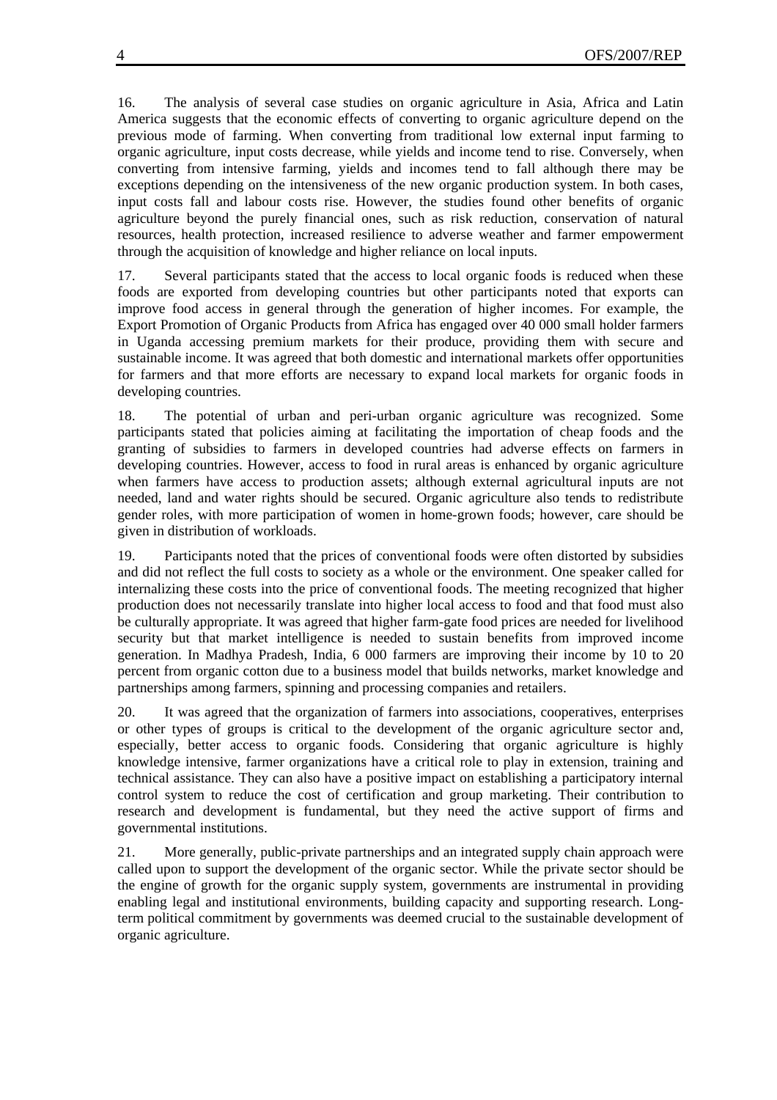16. The analysis of several case studies on organic agriculture in Asia, Africa and Latin America suggests that the economic effects of converting to organic agriculture depend on the previous mode of farming. When converting from traditional low external input farming to organic agriculture, input costs decrease, while yields and income tend to rise. Conversely, when converting from intensive farming, yields and incomes tend to fall although there may be exceptions depending on the intensiveness of the new organic production system. In both cases, input costs fall and labour costs rise. However, the studies found other benefits of organic agriculture beyond the purely financial ones, such as risk reduction, conservation of natural resources, health protection, increased resilience to adverse weather and farmer empowerment through the acquisition of knowledge and higher reliance on local inputs.

17. Several participants stated that the access to local organic foods is reduced when these foods are exported from developing countries but other participants noted that exports can improve food access in general through the generation of higher incomes. For example, the Export Promotion of Organic Products from Africa has engaged over 40 000 small holder farmers in Uganda accessing premium markets for their produce, providing them with secure and sustainable income. It was agreed that both domestic and international markets offer opportunities for farmers and that more efforts are necessary to expand local markets for organic foods in developing countries.

18. The potential of urban and peri-urban organic agriculture was recognized. Some participants stated that policies aiming at facilitating the importation of cheap foods and the granting of subsidies to farmers in developed countries had adverse effects on farmers in developing countries. However, access to food in rural areas is enhanced by organic agriculture when farmers have access to production assets; although external agricultural inputs are not needed, land and water rights should be secured. Organic agriculture also tends to redistribute gender roles, with more participation of women in home-grown foods; however, care should be given in distribution of workloads.

19. Participants noted that the prices of conventional foods were often distorted by subsidies and did not reflect the full costs to society as a whole or the environment. One speaker called for internalizing these costs into the price of conventional foods. The meeting recognized that higher production does not necessarily translate into higher local access to food and that food must also be culturally appropriate. It was agreed that higher farm-gate food prices are needed for livelihood security but that market intelligence is needed to sustain benefits from improved income generation. In Madhya Pradesh, India, 6 000 farmers are improving their income by 10 to 20 percent from organic cotton due to a business model that builds networks, market knowledge and partnerships among farmers, spinning and processing companies and retailers.

20. It was agreed that the organization of farmers into associations, cooperatives, enterprises or other types of groups is critical to the development of the organic agriculture sector and, especially, better access to organic foods. Considering that organic agriculture is highly knowledge intensive, farmer organizations have a critical role to play in extension, training and technical assistance. They can also have a positive impact on establishing a participatory internal control system to reduce the cost of certification and group marketing. Their contribution to research and development is fundamental, but they need the active support of firms and governmental institutions.

21. More generally, public-private partnerships and an integrated supply chain approach were called upon to support the development of the organic sector. While the private sector should be the engine of growth for the organic supply system, governments are instrumental in providing enabling legal and institutional environments, building capacity and supporting research. Longterm political commitment by governments was deemed crucial to the sustainable development of organic agriculture.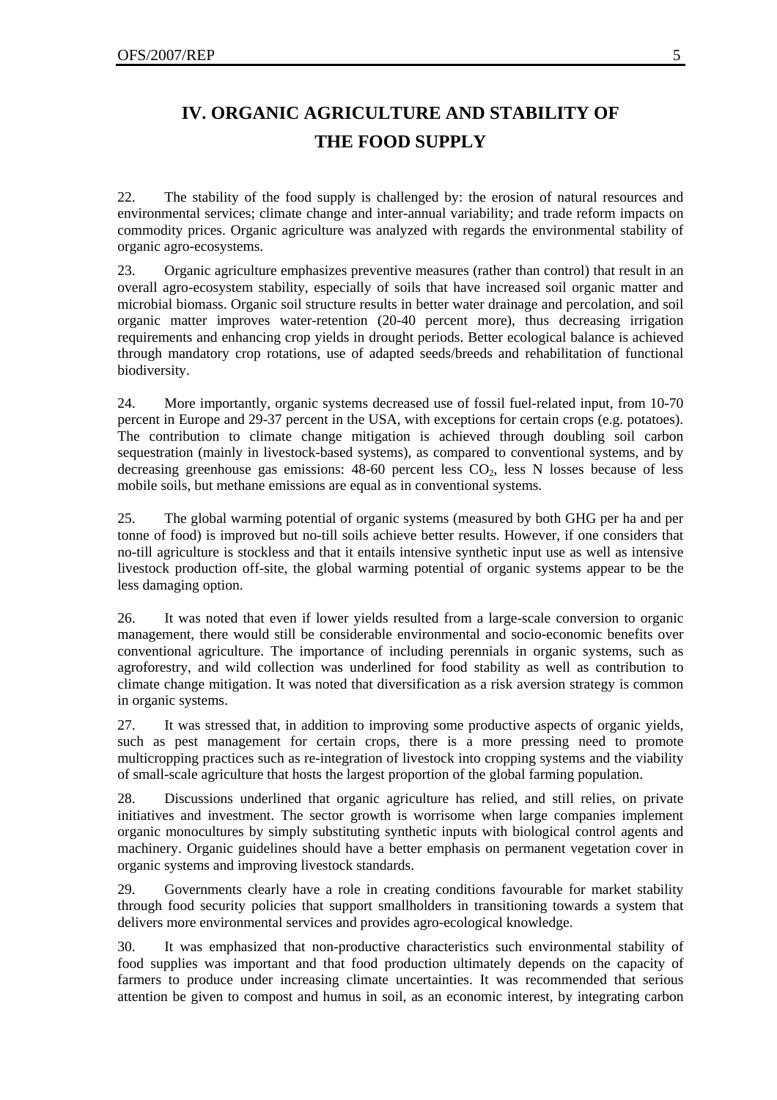# **IV. ORGANIC AGRICULTURE AND STABILITY OF THE FOOD SUPPLY**

22. The stability of the food supply is challenged by: the erosion of natural resources and environmental services; climate change and inter-annual variability; and trade reform impacts on commodity prices. Organic agriculture was analyzed with regards the environmental stability of organic agro-ecosystems.

23. Organic agriculture emphasizes preventive measures (rather than control) that result in an overall agro-ecosystem stability, especially of soils that have increased soil organic matter and microbial biomass. Organic soil structure results in better water drainage and percolation, and soil organic matter improves water-retention (20-40 percent more), thus decreasing irrigation requirements and enhancing crop yields in drought periods. Better ecological balance is achieved through mandatory crop rotations, use of adapted seeds/breeds and rehabilitation of functional biodiversity.

24. More importantly, organic systems decreased use of fossil fuel-related input, from 10-70 percent in Europe and 29-37 percent in the USA, with exceptions for certain crops (e.g. potatoes). The contribution to climate change mitigation is achieved through doubling soil carbon sequestration (mainly in livestock-based systems), as compared to conventional systems, and by decreasing greenhouse gas emissions:  $48-60$  percent less  $CO<sub>2</sub>$ , less N losses because of less mobile soils, but methane emissions are equal as in conventional systems.

25. The global warming potential of organic systems (measured by both GHG per ha and per tonne of food) is improved but no-till soils achieve better results. However, if one considers that no-till agriculture is stockless and that it entails intensive synthetic input use as well as intensive livestock production off-site, the global warming potential of organic systems appear to be the less damaging option.

26. It was noted that even if lower yields resulted from a large-scale conversion to organic management, there would still be considerable environmental and socio-economic benefits over conventional agriculture. The importance of including perennials in organic systems, such as agroforestry, and wild collection was underlined for food stability as well as contribution to climate change mitigation. It was noted that diversification as a risk aversion strategy is common in organic systems.

27. It was stressed that, in addition to improving some productive aspects of organic yields, such as pest management for certain crops, there is a more pressing need to promote multicropping practices such as re-integration of livestock into cropping systems and the viability of small-scale agriculture that hosts the largest proportion of the global farming population.

28. Discussions underlined that organic agriculture has relied, and still relies, on private initiatives and investment. The sector growth is worrisome when large companies implement organic monocultures by simply substituting synthetic inputs with biological control agents and machinery. Organic guidelines should have a better emphasis on permanent vegetation cover in organic systems and improving livestock standards.

29. Governments clearly have a role in creating conditions favourable for market stability through food security policies that support smallholders in transitioning towards a system that delivers more environmental services and provides agro-ecological knowledge.

30. It was emphasized that non-productive characteristics such environmental stability of food supplies was important and that food production ultimately depends on the capacity of farmers to produce under increasing climate uncertainties. It was recommended that serious attention be given to compost and humus in soil, as an economic interest, by integrating carbon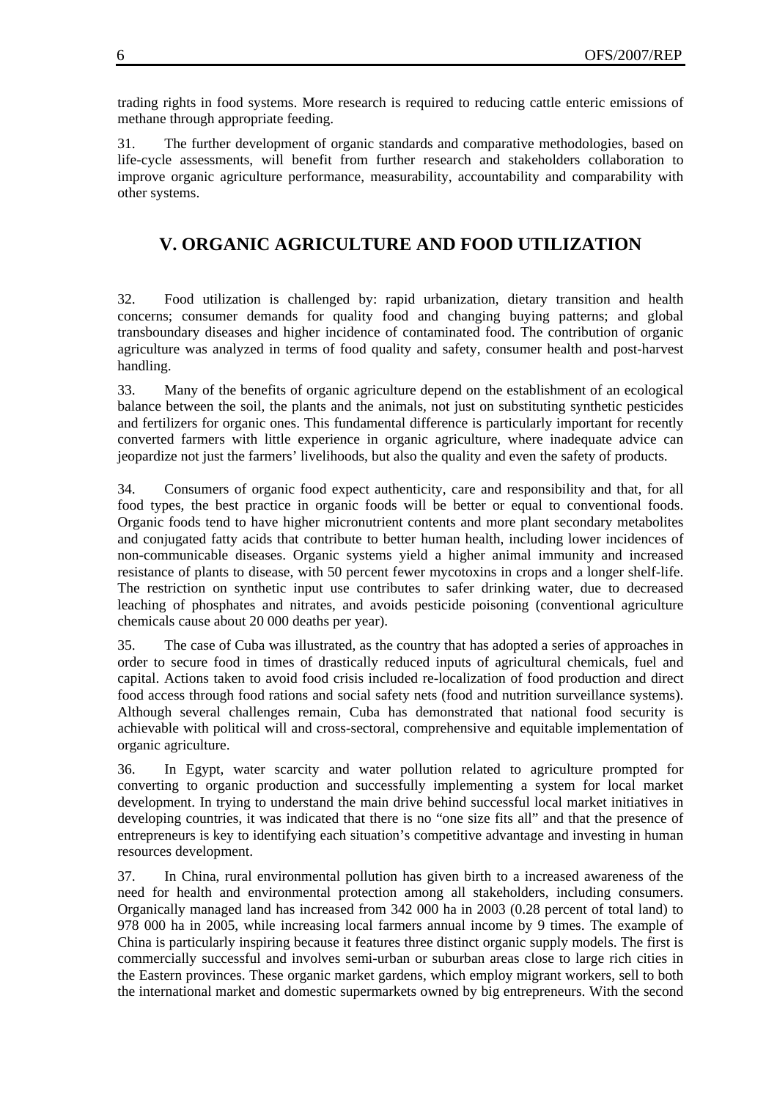trading rights in food systems. More research is required to reducing cattle enteric emissions of methane through appropriate feeding.

31. The further development of organic standards and comparative methodologies, based on life-cycle assessments, will benefit from further research and stakeholders collaboration to improve organic agriculture performance, measurability, accountability and comparability with other systems.

### **V. ORGANIC AGRICULTURE AND FOOD UTILIZATION**

32. Food utilization is challenged by: rapid urbanization, dietary transition and health concerns; consumer demands for quality food and changing buying patterns; and global transboundary diseases and higher incidence of contaminated food. The contribution of organic agriculture was analyzed in terms of food quality and safety, consumer health and post-harvest handling.

33. Many of the benefits of organic agriculture depend on the establishment of an ecological balance between the soil, the plants and the animals, not just on substituting synthetic pesticides and fertilizers for organic ones. This fundamental difference is particularly important for recently converted farmers with little experience in organic agriculture, where inadequate advice can jeopardize not just the farmers' livelihoods, but also the quality and even the safety of products.

34. Consumers of organic food expect authenticity, care and responsibility and that, for all food types, the best practice in organic foods will be better or equal to conventional foods. Organic foods tend to have higher micronutrient contents and more plant secondary metabolites and conjugated fatty acids that contribute to better human health, including lower incidences of non-communicable diseases. Organic systems yield a higher animal immunity and increased resistance of plants to disease, with 50 percent fewer mycotoxins in crops and a longer shelf-life. The restriction on synthetic input use contributes to safer drinking water, due to decreased leaching of phosphates and nitrates, and avoids pesticide poisoning (conventional agriculture chemicals cause about 20 000 deaths per year).

35. The case of Cuba was illustrated, as the country that has adopted a series of approaches in order to secure food in times of drastically reduced inputs of agricultural chemicals, fuel and capital. Actions taken to avoid food crisis included re-localization of food production and direct food access through food rations and social safety nets (food and nutrition surveillance systems). Although several challenges remain, Cuba has demonstrated that national food security is achievable with political will and cross-sectoral, comprehensive and equitable implementation of organic agriculture.

36. In Egypt, water scarcity and water pollution related to agriculture prompted for converting to organic production and successfully implementing a system for local market development. In trying to understand the main drive behind successful local market initiatives in developing countries, it was indicated that there is no "one size fits all" and that the presence of entrepreneurs is key to identifying each situation's competitive advantage and investing in human resources development.

37. In China, rural environmental pollution has given birth to a increased awareness of the need for health and environmental protection among all stakeholders, including consumers. Organically managed land has increased from 342 000 ha in 2003 (0.28 percent of total land) to 978 000 ha in 2005, while increasing local farmers annual income by 9 times. The example of China is particularly inspiring because it features three distinct organic supply models. The first is commercially successful and involves semi-urban or suburban areas close to large rich cities in the Eastern provinces. These organic market gardens, which employ migrant workers, sell to both the international market and domestic supermarkets owned by big entrepreneurs. With the second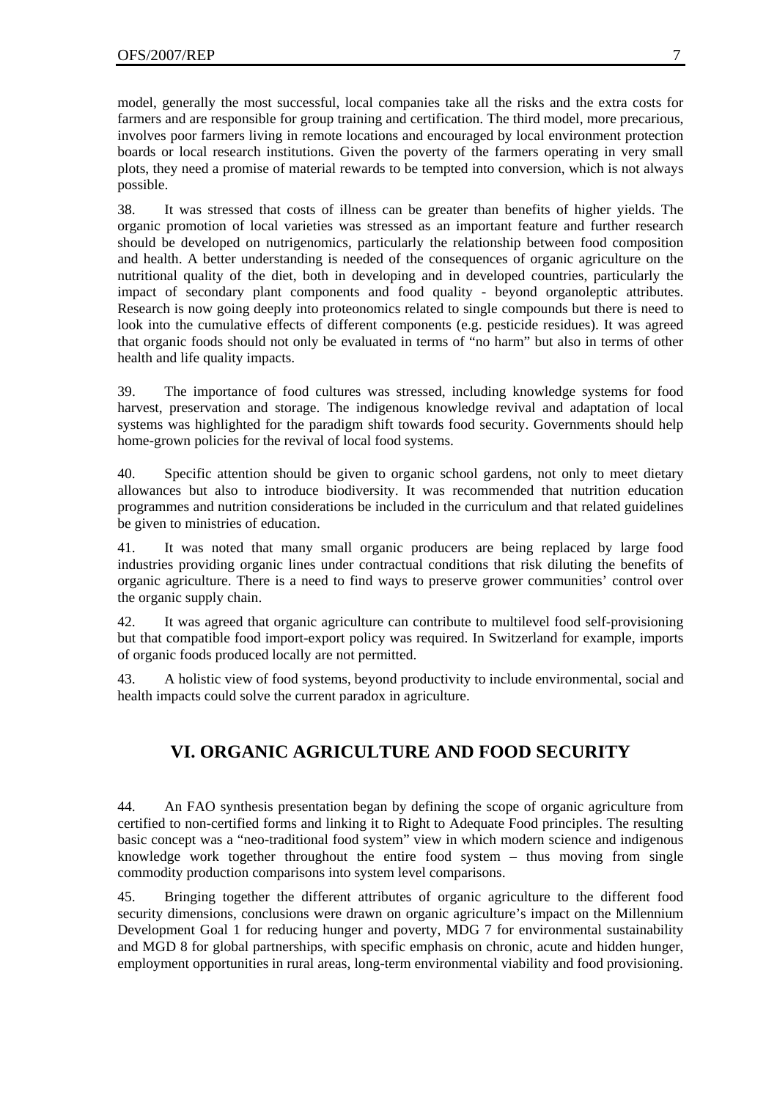model, generally the most successful, local companies take all the risks and the extra costs for farmers and are responsible for group training and certification. The third model, more precarious, involves poor farmers living in remote locations and encouraged by local environment protection boards or local research institutions. Given the poverty of the farmers operating in very small plots, they need a promise of material rewards to be tempted into conversion, which is not always possible.

38. It was stressed that costs of illness can be greater than benefits of higher yields. The organic promotion of local varieties was stressed as an important feature and further research should be developed on nutrigenomics, particularly the relationship between food composition and health. A better understanding is needed of the consequences of organic agriculture on the nutritional quality of the diet, both in developing and in developed countries, particularly the impact of secondary plant components and food quality - beyond organoleptic attributes. Research is now going deeply into proteonomics related to single compounds but there is need to look into the cumulative effects of different components (e.g. pesticide residues). It was agreed that organic foods should not only be evaluated in terms of "no harm" but also in terms of other health and life quality impacts.

39. The importance of food cultures was stressed, including knowledge systems for food harvest, preservation and storage. The indigenous knowledge revival and adaptation of local systems was highlighted for the paradigm shift towards food security. Governments should help home-grown policies for the revival of local food systems.

40. Specific attention should be given to organic school gardens, not only to meet dietary allowances but also to introduce biodiversity. It was recommended that nutrition education programmes and nutrition considerations be included in the curriculum and that related guidelines be given to ministries of education.

41. It was noted that many small organic producers are being replaced by large food industries providing organic lines under contractual conditions that risk diluting the benefits of organic agriculture. There is a need to find ways to preserve grower communities' control over the organic supply chain.

42. It was agreed that organic agriculture can contribute to multilevel food self-provisioning but that compatible food import-export policy was required. In Switzerland for example, imports of organic foods produced locally are not permitted.

43. A holistic view of food systems, beyond productivity to include environmental, social and health impacts could solve the current paradox in agriculture.

### **VI. ORGANIC AGRICULTURE AND FOOD SECURITY**

44. An FAO synthesis presentation began by defining the scope of organic agriculture from certified to non-certified forms and linking it to Right to Adequate Food principles. The resulting basic concept was a "neo-traditional food system" view in which modern science and indigenous knowledge work together throughout the entire food system – thus moving from single commodity production comparisons into system level comparisons.

45. Bringing together the different attributes of organic agriculture to the different food security dimensions, conclusions were drawn on organic agriculture's impact on the Millennium Development Goal 1 for reducing hunger and poverty, MDG 7 for environmental sustainability and MGD 8 for global partnerships, with specific emphasis on chronic, acute and hidden hunger, employment opportunities in rural areas, long-term environmental viability and food provisioning.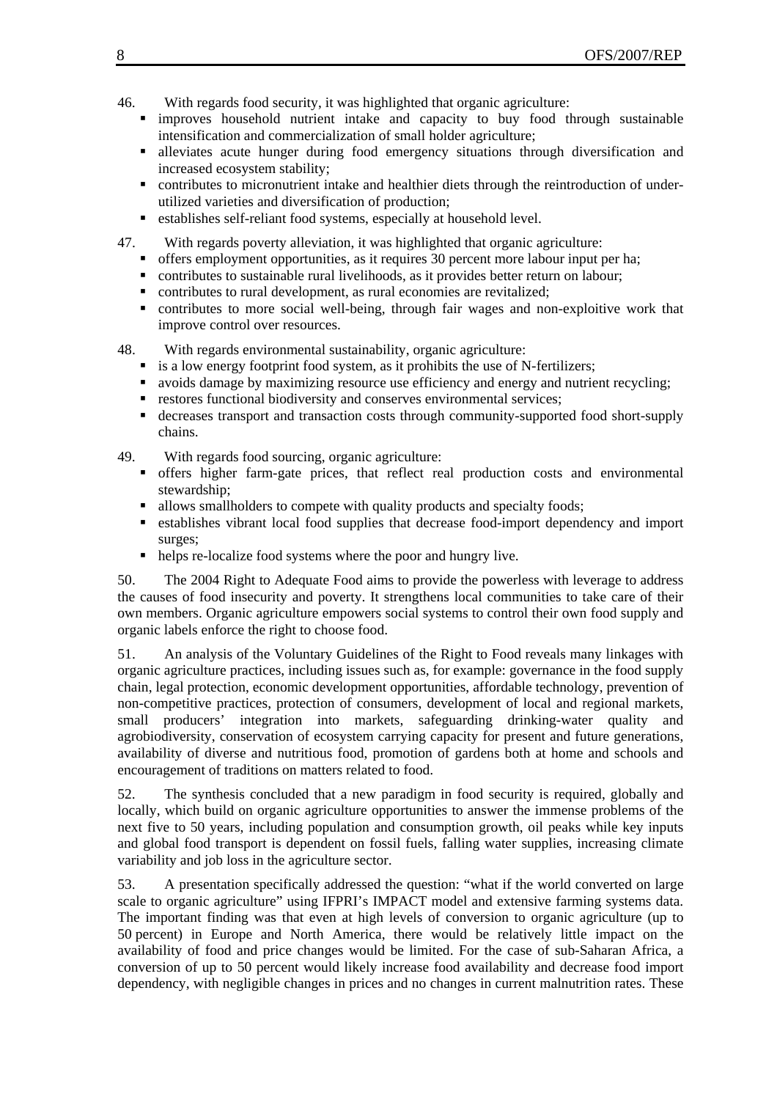- 46. With regards food security, it was highlighted that organic agriculture:
	- improves household nutrient intake and capacity to buy food through sustainable intensification and commercialization of small holder agriculture;
	- alleviates acute hunger during food emergency situations through diversification and increased ecosystem stability;
	- contributes to micronutrient intake and healthier diets through the reintroduction of underutilized varieties and diversification of production;
	- establishes self-reliant food systems, especially at household level.
- 47. With regards poverty alleviation, it was highlighted that organic agriculture:
	- offers employment opportunities, as it requires 30 percent more labour input per ha;
	- contributes to sustainable rural livelihoods, as it provides better return on labour;
	- contributes to rural development, as rural economies are revitalized;
	- contributes to more social well-being, through fair wages and non-exploitive work that improve control over resources.
- 48. With regards environmental sustainability, organic agriculture:
	- is a low energy footprint food system, as it prohibits the use of N-fertilizers;
	- avoids damage by maximizing resource use efficiency and energy and nutrient recycling;
	- **restores functional biodiversity and conserves environmental services;**
	- decreases transport and transaction costs through community-supported food short-supply chains.
- 49. With regards food sourcing, organic agriculture:
	- offers higher farm-gate prices, that reflect real production costs and environmental stewardship;
	- allows smallholders to compete with quality products and specialty foods;
	- establishes vibrant local food supplies that decrease food-import dependency and import surges;
	- helps re-localize food systems where the poor and hungry live.

50. The 2004 Right to Adequate Food aims to provide the powerless with leverage to address the causes of food insecurity and poverty. It strengthens local communities to take care of their own members. Organic agriculture empowers social systems to control their own food supply and organic labels enforce the right to choose food.

51. An analysis of the Voluntary Guidelines of the Right to Food reveals many linkages with organic agriculture practices, including issues such as, for example: governance in the food supply chain, legal protection, economic development opportunities, affordable technology, prevention of non-competitive practices, protection of consumers, development of local and regional markets, small producers' integration into markets, safeguarding drinking-water quality and agrobiodiversity, conservation of ecosystem carrying capacity for present and future generations, availability of diverse and nutritious food, promotion of gardens both at home and schools and encouragement of traditions on matters related to food.

52. The synthesis concluded that a new paradigm in food security is required, globally and locally, which build on organic agriculture opportunities to answer the immense problems of the next five to 50 years, including population and consumption growth, oil peaks while key inputs and global food transport is dependent on fossil fuels, falling water supplies, increasing climate variability and job loss in the agriculture sector.

53. A presentation specifically addressed the question: "what if the world converted on large scale to organic agriculture" using IFPRI's IMPACT model and extensive farming systems data. The important finding was that even at high levels of conversion to organic agriculture (up to 50 percent) in Europe and North America, there would be relatively little impact on the availability of food and price changes would be limited. For the case of sub-Saharan Africa, a conversion of up to 50 percent would likely increase food availability and decrease food import dependency, with negligible changes in prices and no changes in current malnutrition rates. These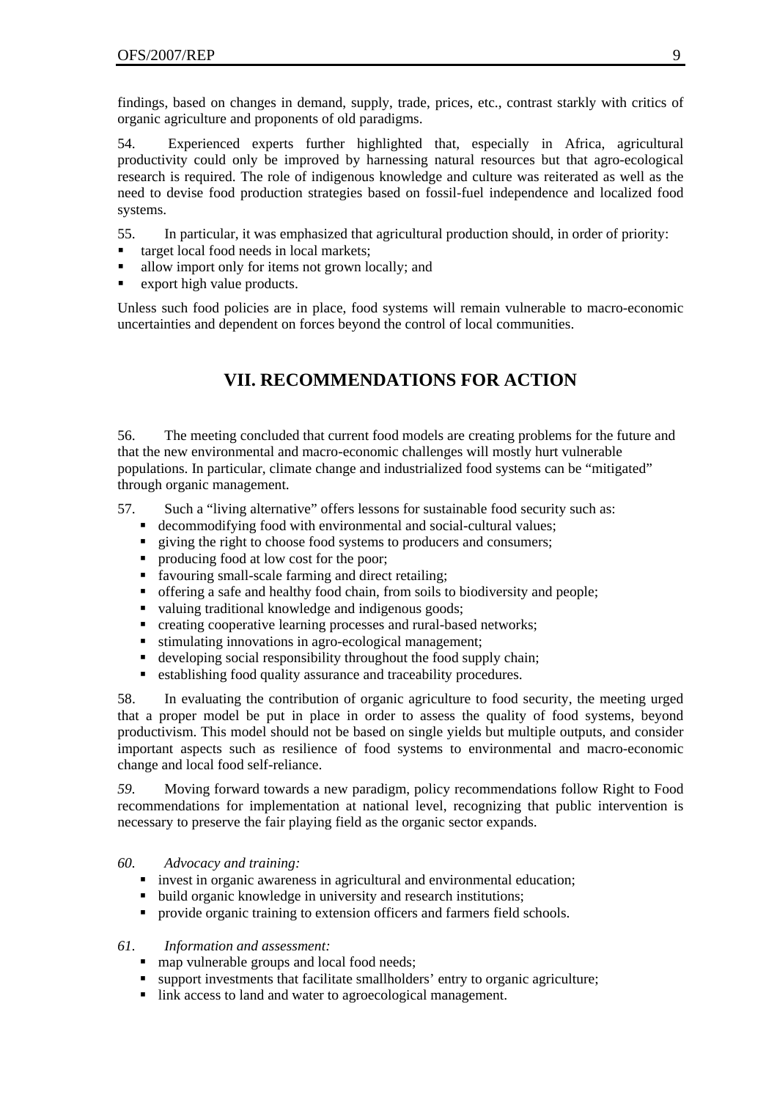findings, based on changes in demand, supply, trade, prices, etc., contrast starkly with critics of organic agriculture and proponents of old paradigms.

54. Experienced experts further highlighted that, especially in Africa, agricultural productivity could only be improved by harnessing natural resources but that agro-ecological research is required. The role of indigenous knowledge and culture was reiterated as well as the need to devise food production strategies based on fossil-fuel independence and localized food systems.

55. In particular, it was emphasized that agricultural production should, in order of priority:

- target local food needs in local markets;
- allow import only for items not grown locally; and
- **Export high value products.**

Unless such food policies are in place, food systems will remain vulnerable to macro-economic uncertainties and dependent on forces beyond the control of local communities.

### **VII. RECOMMENDATIONS FOR ACTION**

56. The meeting concluded that current food models are creating problems for the future and that the new environmental and macro-economic challenges will mostly hurt vulnerable populations. In particular, climate change and industrialized food systems can be "mitigated" through organic management.

- 57. Such a "living alternative" offers lessons for sustainable food security such as:
	- decommodifying food with environmental and social-cultural values;
	- quiving the right to choose food systems to producers and consumers;
	- producing food at low cost for the poor;
	- favouring small-scale farming and direct retailing;
	- offering a safe and healthy food chain, from soils to biodiversity and people;
	- valuing traditional knowledge and indigenous goods;
	- **F** creating cooperative learning processes and rural-based networks;
	- stimulating innovations in agro-ecological management;
	- developing social responsibility throughout the food supply chain;
	- establishing food quality assurance and traceability procedures.

58. In evaluating the contribution of organic agriculture to food security, the meeting urged that a proper model be put in place in order to assess the quality of food systems, beyond productivism. This model should not be based on single yields but multiple outputs, and consider important aspects such as resilience of food systems to environmental and macro-economic change and local food self-reliance.

*59.* Moving forward towards a new paradigm, policy recommendations follow Right to Food recommendations for implementation at national level, recognizing that public intervention is necessary to preserve the fair playing field as the organic sector expands.

#### *60. Advocacy and training:*

- invest in organic awareness in agricultural and environmental education;
- build organic knowledge in university and research institutions;
- **Perovide organic training to extension officers and farmers field schools.**

#### *61. Information and assessment:*

- map vulnerable groups and local food needs;
- **support investments that facilitate smallholders' entry to organic agriculture;**
- link access to land and water to agroecological management.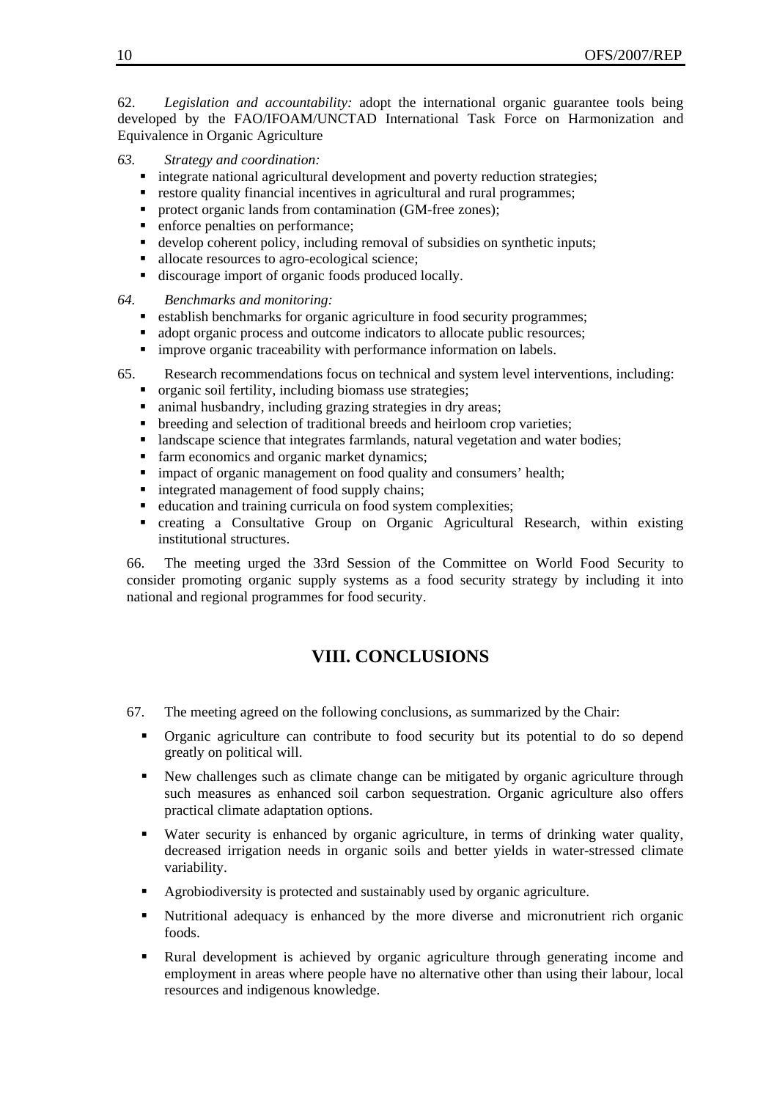62. *Legislation and accountability:* adopt the international organic guarantee tools being developed by the FAO/IFOAM/UNCTAD International Task Force on Harmonization and Equivalence in Organic Agriculture

- *63. Strategy and coordination:* 
	- $\blacksquare$  integrate national agricultural development and poverty reduction strategies;
	- restore quality financial incentives in agricultural and rural programmes;
	- **Perobect organic lands from contamination (GM-free zones);**
	- **enforce penalties on performance;**
	- develop coherent policy, including removal of subsidies on synthetic inputs;
	- allocate resources to agro-ecological science;
	- discourage import of organic foods produced locally.
- *64. Benchmarks and monitoring:* 
	- establish benchmarks for organic agriculture in food security programmes;
	- dopt organic process and outcome indicators to allocate public resources;
	- **In improve organic traceability with performance information on labels.**
- 65. Research recommendations focus on technical and system level interventions, including:
	- organic soil fertility, including biomass use strategies;
	- animal husbandry, including grazing strategies in dry areas;
	- breeding and selection of traditional breeds and heirloom crop varieties;
	- Ilandscape science that integrates farmlands, natural vegetation and water bodies;
	- farm economics and organic market dynamics;
	- **impact of organic management on food quality and consumers' health;**
	- integrated management of food supply chains;
	- education and training curricula on food system complexities;
	- creating a Consultative Group on Organic Agricultural Research, within existing institutional structures.

66. The meeting urged the 33rd Session of the Committee on World Food Security to consider promoting organic supply systems as a food security strategy by including it into national and regional programmes for food security.

### **VIII. CONCLUSIONS**

- 67. The meeting agreed on the following conclusions, as summarized by the Chair:
	- Organic agriculture can contribute to food security but its potential to do so depend greatly on political will.
	- New challenges such as climate change can be mitigated by organic agriculture through such measures as enhanced soil carbon sequestration. Organic agriculture also offers practical climate adaptation options.
	- Water security is enhanced by organic agriculture, in terms of drinking water quality, decreased irrigation needs in organic soils and better yields in water-stressed climate variability.
	- Agrobiodiversity is protected and sustainably used by organic agriculture.
	- Nutritional adequacy is enhanced by the more diverse and micronutrient rich organic foods.
	- Rural development is achieved by organic agriculture through generating income and employment in areas where people have no alternative other than using their labour, local resources and indigenous knowledge.